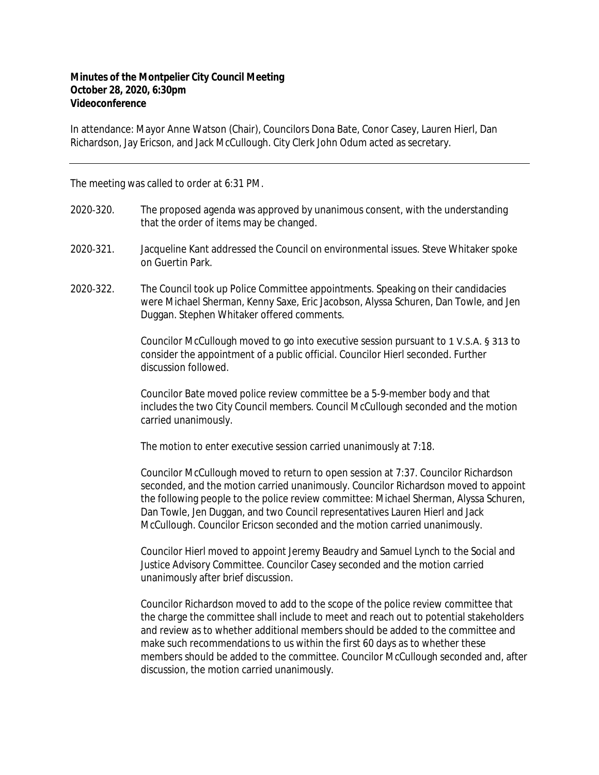## **Minutes of the Montpelier City Council Meeting October 28, 2020, 6:30pm Videoconference**

In attendance: Mayor Anne Watson (Chair), Councilors Dona Bate, Conor Casey, Lauren Hierl, Dan Richardson, Jay Ericson, and Jack McCullough. City Clerk John Odum acted as secretary.

The meeting was called to order at 6:31 PM.

- 2020-320. The proposed agenda was approved by unanimous consent, with the understanding that the order of items may be changed.
- 2020‐321. Jacqueline Kant addressed the Council on environmental issues. Steve Whitaker spoke on Guertin Park.
- 2020‐322. The Council took up Police Committee appointments. Speaking on their candidacies were Michael Sherman, Kenny Saxe, Eric Jacobson, Alyssa Schuren, Dan Towle, and Jen Duggan. Stephen Whitaker offered comments.

Councilor McCullough moved to go into executive session pursuant to 1 V.S.A. § 313 to consider the appointment of a public official. Councilor Hierl seconded. Further discussion followed.

Councilor Bate moved police review committee be a 5-9-member body and that includes the two City Council members. Council McCullough seconded and the motion carried unanimously.

The motion to enter executive session carried unanimously at 7:18.

Councilor McCullough moved to return to open session at 7:37. Councilor Richardson seconded, and the motion carried unanimously. Councilor Richardson moved to appoint the following people to the police review committee: Michael Sherman, Alyssa Schuren, Dan Towle, Jen Duggan, and two Council representatives Lauren Hierl and Jack McCullough. Councilor Ericson seconded and the motion carried unanimously.

Councilor Hierl moved to appoint Jeremy Beaudry and Samuel Lynch to the Social and Justice Advisory Committee. Councilor Casey seconded and the motion carried unanimously after brief discussion.

Councilor Richardson moved to add to the scope of the police review committee that the charge the committee shall include to meet and reach out to potential stakeholders and review as to whether additional members should be added to the committee and make such recommendations to us within the first 60 days as to whether these members should be added to the committee. Councilor McCullough seconded and, after discussion, the motion carried unanimously.